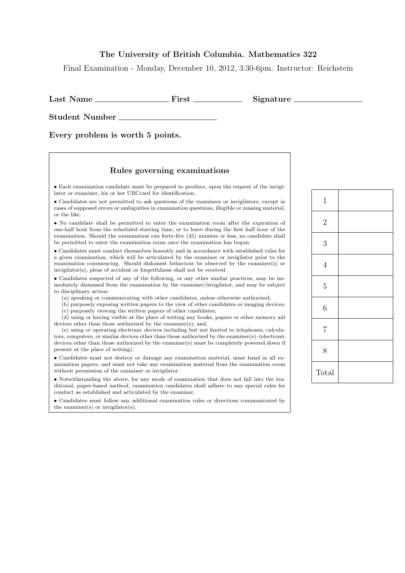## The University of British Columbia. Mathematics 322

Final Examination - Monday, December 10, 2012, 3:30-6pm. Instructor: Reichstein

Last Name First Signature

Student Number

Every problem is worth 5 points.

## Rules governing examinations

• Each examination candidate must be prepared to produce, upon the request of the invigilator or examiner, his or her UBCcard for identification.

• Candidates are not permitted to ask questions of the examiners or invigilators, except in cases of supposed errors or ambiguities in examination questions, illegible or missing material, or the like.

• No candidate shall be permitted to enter the examination room after the expiration of one-half hour from the scheduled starting time, or to leave during the first half hour of the examination. Should the examination run forty-five (45) minutes or less, no candidate shall be permitted to enter the examination room once the examination has begun.

• Candidates must conduct themselves honestly and in accordance with established rules for a given examination, which will be articulated by the examiner or invigilator prior to the examination commencing. Should dishonest behaviour be observed by the examiner(s) or invigilator(s), pleas of accident or forgetfulness shall not be received.

• Candidates suspected of any of the following, or any other similar practices, may be immediately dismissed from the examination by the examiner/invigilator, and may be subject to disciplinary action:

(a) speaking or communicating with other candidates, unless otherwise authorized;

(b) purposely exposing written papers to the view of other candidates or imaging devices; (c) purposely viewing the written papers of other candidates;

(d) using or having visible at the place of writing any books, papers or other memory aid devices other than those authorized by the examiner(s); and,

(e) using or operating electronic devices including but not limited to telephones, calculators, computers, or similar devices other than those authorized by the examiner(s)–(electronic devices other than those authorized by the examiner(s) must be completely powered down if present at the place of writing).

• Candidates must not destroy or damage any examination material, must hand in all examination papers, and must not take any examination material from the examination room without permission of the examiner or invigilator.

• Notwithstanding the above, for any mode of examination that does not fall into the traditional, paper-based method, examination candidates shall adhere to any special rules for conduct as established and articulated by the examiner.

• Candidates must follow any additional examination rules or directions communicated by the examiner(s) or invigilator(s).

| $\mathbf{1}$   |  |
|----------------|--|
| $\overline{2}$ |  |
| 3              |  |
| $\overline{4}$ |  |
| $\overline{5}$ |  |
| 6              |  |
| $\overline{7}$ |  |
| 8              |  |
| Total          |  |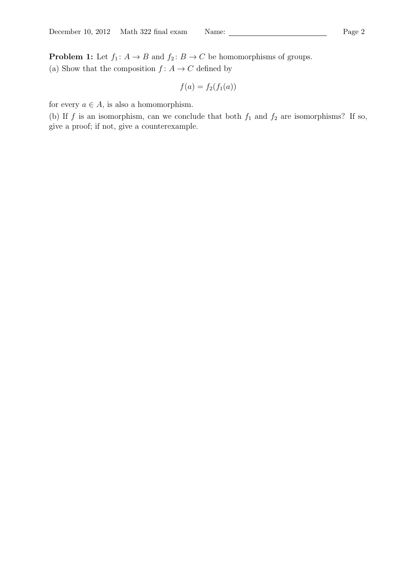**Problem 1:** Let  $f_1: A \to B$  and  $f_2: B \to C$  be homomorphisms of groups. (a) Show that the composition  $f: A \to C$  defined by

$$
f(a) = f_2(f_1(a))
$$

for every  $a \in A$ , is also a homomorphism.

(b) If f is an isomorphism, can we conclude that both  $f_1$  and  $f_2$  are isomorphisms? If so, give a proof; if not, give a counterexample.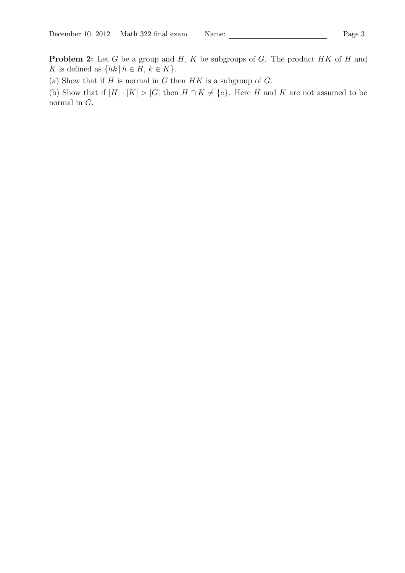**Problem 2:** Let G be a group and  $H$ , K be subgroups of G. The product  $HK$  of H and K is defined as  $\{hk \mid h \in H, k \in K\}.$ 

(a) Show that if  $H$  is normal in  $G$  then  $HK$  is a subgroup of  $G$ .

(b) Show that if  $|H| \cdot |K| > |G|$  then  $H \cap K \neq \{e\}$ . Here H and K are not assumed to be normal in G.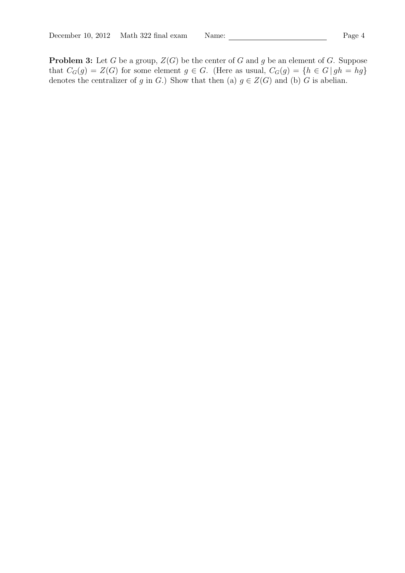**Problem 3:** Let G be a group,  $Z(G)$  be the center of G and g be an element of G. Suppose that  $C_G(g) = Z(G)$  for some element  $g \in G$ . (Here as usual,  $C_G(g) = \{h \in G \mid gh = hg\}$ denotes the centralizer of g in G.) Show that then (a)  $g \in Z(G)$  and (b) G is abelian.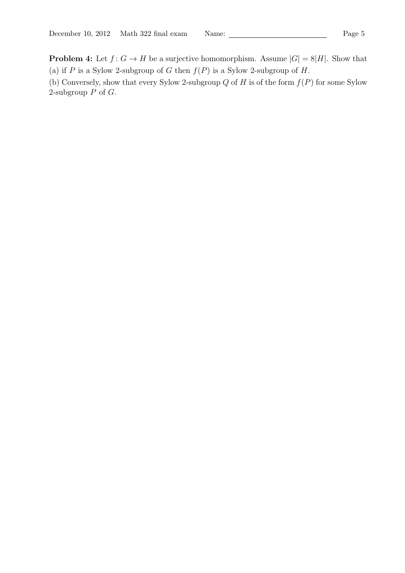**Problem 4:** Let  $f: G \to H$  be a surjective homomorphism. Assume  $|G| = 8|H|$ . Show that (a) if P is a Sylow 2-subgroup of G then  $f(P)$  is a Sylow 2-subgroup of H.

(b) Conversely, show that every Sylow 2-subgroup  $Q$  of  $H$  is of the form  $f(P)$  for some Sylow 2-subgroup  $P$  of  $G$ .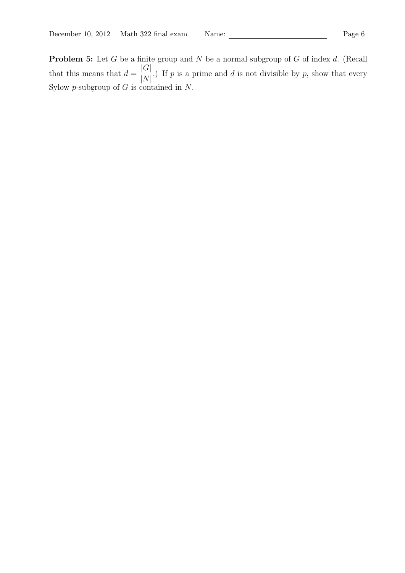**Problem 5:** Let  $G$  be a finite group and  $N$  be a normal subgroup of  $G$  of index  $d$ . (Recall that this means that  $d =$  $|G|$  $|N|$ .) If  $p$  is a prime and  $d$  is not divisible by  $p$ , show that every Sylow  $p$ -subgroup of  $G$  is contained in  $N$ .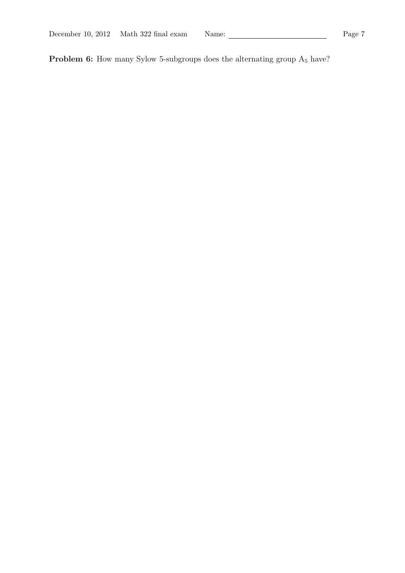**Problem 6:** How many Sylow 5-subgroups does the alternating group  $A_5$  have?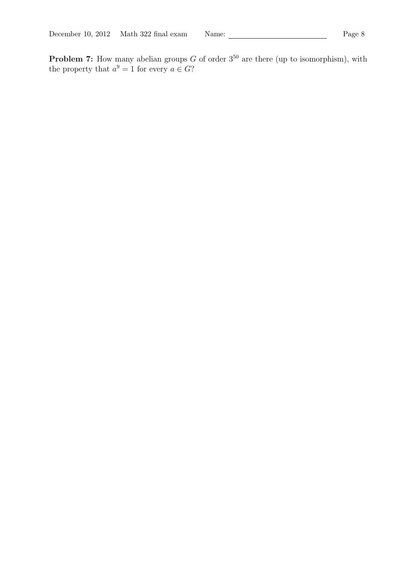**Problem 7:** How many abelian groups G of order  $3^{50}$  are there (up to isomorphism), with the property that  $a^9 = 1$  for every  $a \in G$ ?